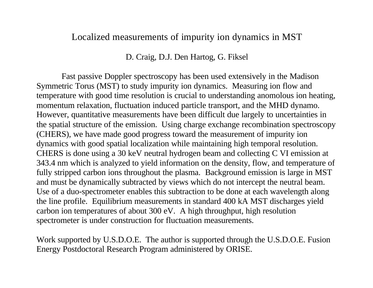#### Localized measurements of impurity ion dynamics in MST

D. Craig, D.J. Den Hartog, G. Fiksel

Fast passive Doppler spectroscopy has been used extensively in the Madison Symmetric Torus (MST) to study impurity ion dynamics. Measuring ion flow and temperature with good time resolution is crucial to understanding anomolous ion heating, momentum relaxation, fluctuation induced particle transport, and the MHD dynamo. However, quantitative measurements have been difficult due largely to uncertainties in the spatial structure of the emission. Using charge exchange recombination spectroscopy (CHERS), we have made good progress toward the measurement of impurity ion dynamics with good spatial localization while maintaining high temporal resolution. CHERS is done using a 30 keV neutral hydrogen beam and collecting C VI emission at 343.4 nm which is analyzed to yield information on the density, flow, and temperature of fully stripped carbon ions throughout the plasma. Background emission is large in MST and must be dynamically subtracted by views which do not intercept the neutral beam. Use of a duo-spectrometer enables this subtraction to be done at each wavelength along the line profile. Equilibrium measurements in standard 400 kA MST discharges yield carbon ion temperatures of about 300 eV. A high throughput, high resolution spectrometer is under construction for fluctuation measurements.

Work supported by U.S.D.O.E. The author is supported through the U.S.D.O.E. Fusion Energy Postdoctoral Research Program administered by ORISE.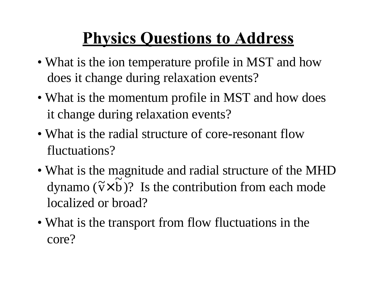## **Physics Questions to Address**

- What is the ion temperature profile in MST and how does it change during relaxation events?
- What is the momentum profile in MST and how does it change during relaxation events?
- What is the radial structure of core-resonant flow fluctuations?
- What is the magnitude and radial structure of the MHD dynamo  $(\tilde{v} \times b)$ ? Is the contribution from each mode localized or broad?  $\frac{1}{1}$  $\widetilde{\mathbf{v}}\times$
- What is the transport from flow fluctuations in the core?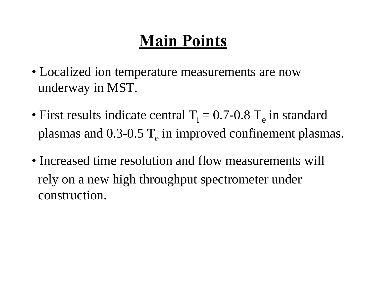## **Main Points**

- Localized ion temperature measurements are now underway in MST.
- First results indicate central  $T_i = 0.7$ -0.8  $T_e$  in standard plasmas and  $0.3$ - $0.5$   $T_e$  in improved confinement plasmas.
- Increased time resolution and flow measurements will rely on a new high throughput spectrometer under construction.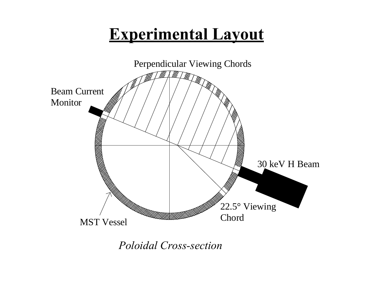## **Experimental Layout**



*Poloidal Cross-section*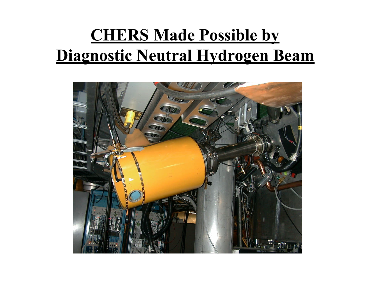## **CHERS Made Possible by Diagnostic Neutral Hydrogen Beam**

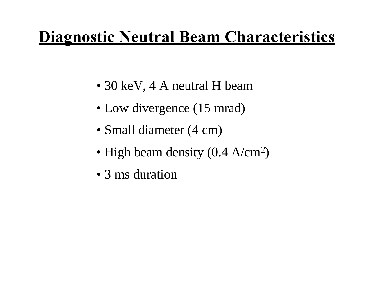## **Diagnostic Neutral Beam Characteristics**

- 30 keV, 4 A neutral H beam
- Low divergence (15 mrad)
- Small diameter (4 cm)
- High beam density (0.4 A/cm<sup>2</sup>)
- 3 ms duration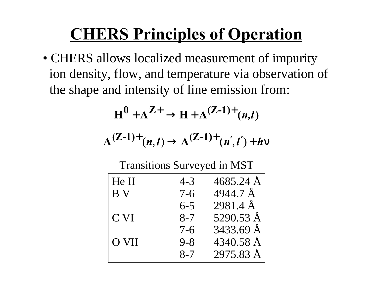## **CHERS Principles of Operation**

• CHERS allows localized measurement of impurity ion density, flow, and temperature via observation of the shape and intensity of line emission from:

$$
H^0 + A^{Z+} \rightarrow H + A^{(Z-1)+} (n,l)
$$

$$
A^{(Z-1)+}(n,l) \to A^{(Z-1)+}(n',l')+h\nu
$$

Transitions Surveyed in MST

| He II | $4 - 3$ | $4685.24 \text{ Å}$ |
|-------|---------|---------------------|
| B V   | $7 - 6$ | $4944.7 \text{ Å}$  |
|       | $6 - 5$ | $2981.4 \text{ Å}$  |
| C VI  | $8 - 7$ | 5290.53 $\AA$       |
|       | $7 - 6$ | $3433.69 \text{ Å}$ |
| O VII | $9 - 8$ | 4340.58 Å           |
|       | $8 - 7$ | 2975.83 Å           |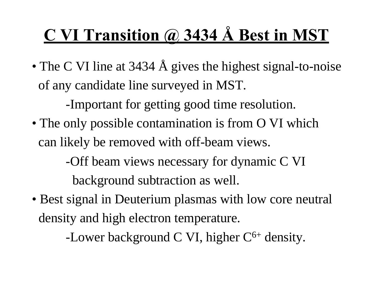## **C VI Transition @ 3434 Å Best in MST**

• The C VI line at 3434 Å gives the highest signal-to-noise of any candidate line surveyed in MST.

-Important for getting good time resolution.

• The only possible contamination is from O VI which can likely be removed with off-beam views.

> -Off beam views necessary for dynamic C VI background subtraction as well.

• Best signal in Deuterium plasmas with low core neutral density and high electron temperature.

-Lower background C VI, higher  $C^{6+}$  density.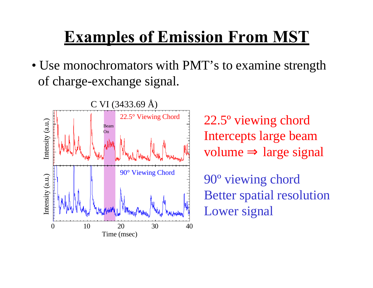## **Examples of Emission From MST**

• Use monochromators with PMT's to examine strength of charge-exchange signal.



22.5º viewing chord Intercepts large beam volume  $\Rightarrow$  large signal

90º viewing chord Better spatial resolution Lower signal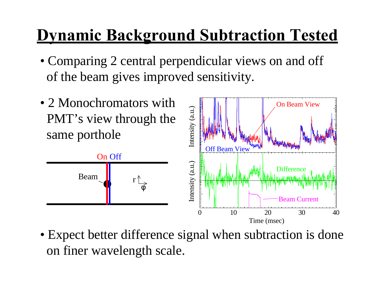## **Dynamic Background Subtraction Tested**

- Comparing 2 central perpendicular views on and off of the beam gives improved sensitivity.
- 2 Monochromators with PMT's view through the same porthole



• Expect better difference signal when subtraction is done on finer wavelength scale.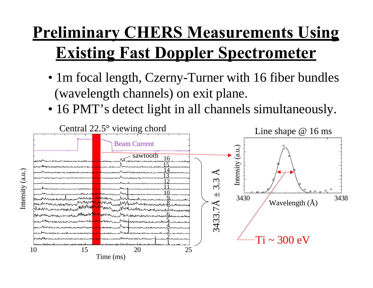## **Preliminary CHERS Measurements Using Existing Fast Doppler Spectrometer**

- 1m focal length, Czerny-Turner with 16 fiber bundles (wavelength channels) on exit plane.
- 16 PMT's detect light in all channels simultaneously.

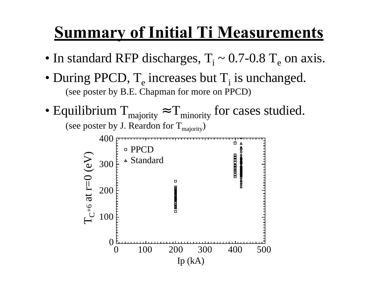## **Summary of Initial Ti Measurements**

- In standard RFP discharges,  $T_i \sim 0.7$ -0.8  $T_e$  on axis.
- During PPCD,  $T_e$  increases but  $T_i$  is unchanged. (see poster by B.E. Chapman for more on PPCD)
- Equilibrium  $T_{\text{majority}} \approx T_{\text{minority}}$  for cases studied. (see poster by J. Reardon for  $T_{\text{majority}}$ )

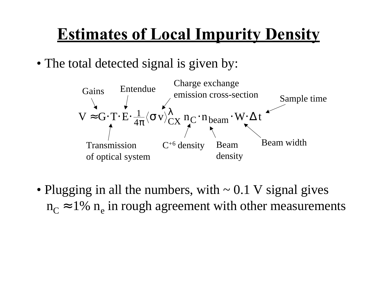## **Estimates of Local Impurity Density**

• The total detected signal is given by:



• Plugging in all the numbers, with  $\sim 0.1$  V signal gives  $n_c \approx 1\%$  n<sub>e</sub> in rough agreement with other measurements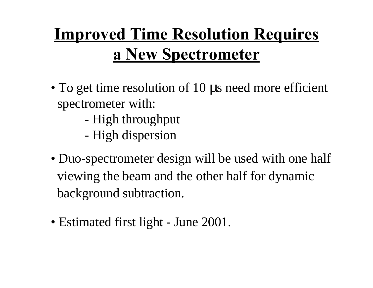# **Improved Time Resolution Requires a New Spectrometer**

- To get time resolution of 10 μs need more efficient spectrometer with:
	- High throughput
	- High dispersion
- Duo-spectrometer design will be used with one half viewing the beam and the other half for dynamic background subtraction.
- Estimated first light June 2001.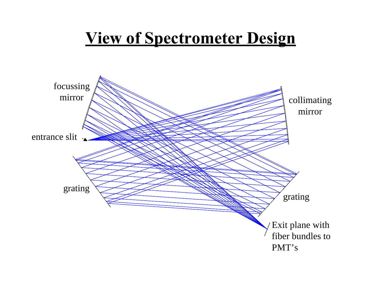#### **View of Spectrometer Design**

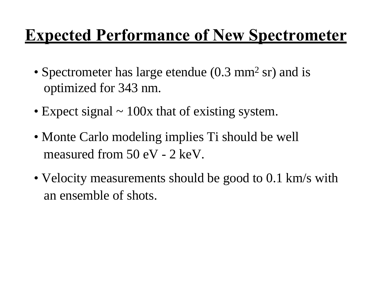## **Expected Performance of New Spectrometer**

- Spectrometer has large etendue (0.3 mm<sup>2</sup> sr) and is optimized for 343 nm.
- Expect signal  $\sim$  100x that of existing system.
- Monte Carlo modeling implies Ti should be well measured from 50 eV - 2 keV.
- Velocity measurements should be good to 0.1 km/s with an ensemble of shots.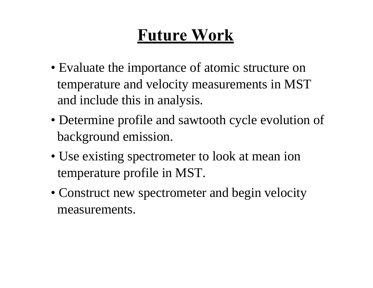## **Future Work**

- Evaluate the importance of atomic structure on temperature and velocity measurements in MST and include this in analysis.
- Determine profile and sawtooth cycle evolution of background emission.
- Use existing spectrometer to look at mean ion temperature profile in MST.
- Construct new spectrometer and begin velocity measurements.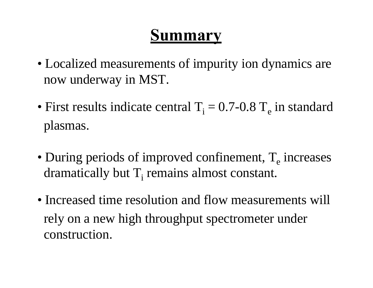#### **Summary**

- Localized measurements of impurity ion dynamics are now underway in MST.
- First results indicate central  $T_i = 0.7$ -0.8  $T_e$  in standard plasmas.
- During periods of improved confinement,  $T_e$  increases dramatically but  $T_i$  remains almost constant.
- Increased time resolution and flow measurements will rely on a new high throughput spectrometer under construction.